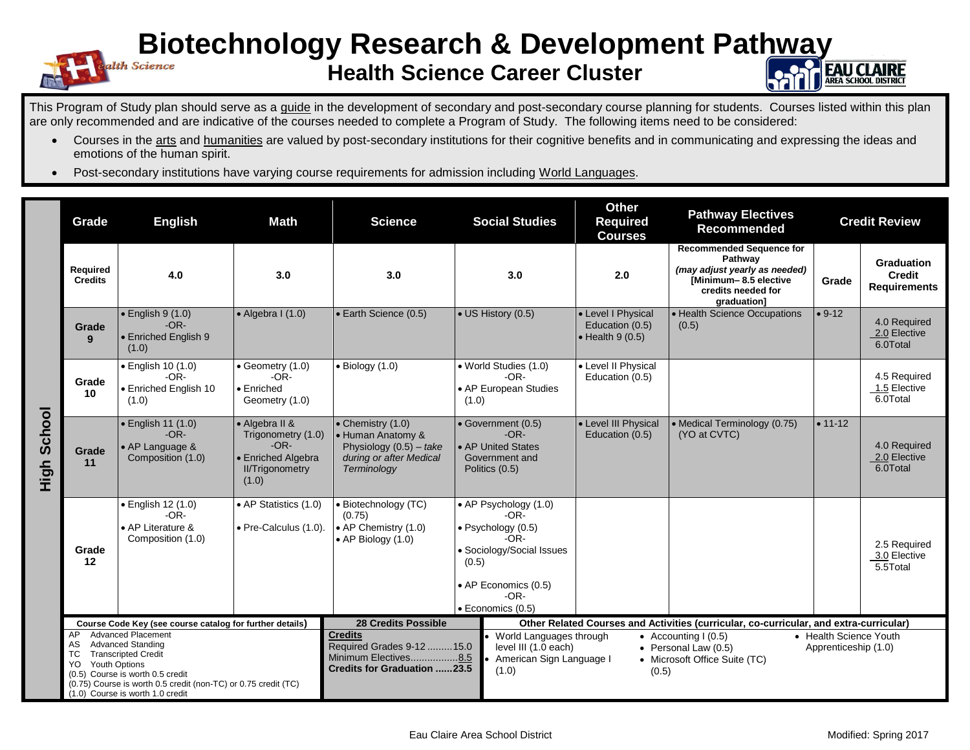## **Biotechnology Research & Development Pathway**

## **Health Science Career Cluster**



This Program of Study plan should serve as a guide in the development of secondary and post-secondary course planning for students. Courses listed within this plan are only recommended and are indicative of the courses needed to complete a Program of Study. The following items need to be considered:

- Courses in the arts and humanities are valued by post-secondary institutions for their cognitive benefits and in communicating and expressing the ideas and emotions of the human spirit.
- Post-secondary institutions have varying course requirements for admission including World Languages.

|                | Grade                                                                                                                                                                                                                                                                          | <b>Math</b><br><b>English</b>                                          |                                                                                                         | <b>Science</b>                                                                                                        | <b>Social Studies</b>                                                                                                                                    | <b>Other</b><br><b>Required</b><br><b>Courses</b>                                                                                                                                                                                 | <b>Pathway Electives</b><br><b>Recommended</b>                                                                                            |           | <b>Credit Review</b>                               |  |
|----------------|--------------------------------------------------------------------------------------------------------------------------------------------------------------------------------------------------------------------------------------------------------------------------------|------------------------------------------------------------------------|---------------------------------------------------------------------------------------------------------|-----------------------------------------------------------------------------------------------------------------------|----------------------------------------------------------------------------------------------------------------------------------------------------------|-----------------------------------------------------------------------------------------------------------------------------------------------------------------------------------------------------------------------------------|-------------------------------------------------------------------------------------------------------------------------------------------|-----------|----------------------------------------------------|--|
|                | <b>Required</b><br><b>Credits</b>                                                                                                                                                                                                                                              | 4.0                                                                    | 3.0                                                                                                     | 3.0                                                                                                                   | 3.0                                                                                                                                                      | 2.0                                                                                                                                                                                                                               | <b>Recommended Sequence for</b><br>Pathway<br>(may adjust yearly as needed)<br>[Minimum-8.5 elective<br>credits needed for<br>graduation] | Grade     | Graduation<br><b>Credit</b><br><b>Requirements</b> |  |
| School<br>High | Grade<br>9                                                                                                                                                                                                                                                                     | $\bullet$ English 9 (1.0)<br>$-OR-$<br>• Enriched English 9<br>(1.0)   | $\bullet$ Algebra I (1.0)                                                                               | • Earth Science (0.5)                                                                                                 | • US History (0.5)                                                                                                                                       | • Level I Physical<br>Education (0.5)<br>$\bullet$ Health 9 (0.5)                                                                                                                                                                 | • Health Science Occupations<br>(0.5)                                                                                                     | $• 9-12$  | 4.0 Required<br>2.0 Elective<br>6.0Total           |  |
|                | Grade<br>10                                                                                                                                                                                                                                                                    | • English 10 (1.0)<br>$-OR-$<br>• Enriched English 10<br>(1.0)         | $\bullet$ Geometry (1.0)<br>$-OR-$<br>• Enriched<br>Geometry (1.0)                                      | $\bullet$ Biology (1.0)                                                                                               | • World Studies (1.0)<br>$-OR-$<br>• AP European Studies<br>(1.0)                                                                                        | • Level II Physical<br>Education (0.5)                                                                                                                                                                                            |                                                                                                                                           |           | 4.5 Required<br>1.5 Elective<br>6.0Total           |  |
|                | Grade<br>11                                                                                                                                                                                                                                                                    | • English 11 (1.0)<br>$-OR-$<br>• AP Language &<br>Composition (1.0)   | • Algebra II &<br>Trigonometry (1.0)<br>$-OR-$<br>• Enriched Algebra<br><b>II/Trigonometry</b><br>(1.0) | $\bullet$ Chemistry (1.0)<br>· Human Anatomy &<br>Physiology $(0.5)$ – take<br>during or after Medical<br>Terminology | • Government (0.5)<br>$-OR-$<br>• AP United States<br>Government and<br>Politics (0.5)                                                                   | • Level III Physical<br>Education (0.5)                                                                                                                                                                                           | • Medical Terminology (0.75)<br>(YO at CVTC)                                                                                              | $• 11-12$ | 4.0 Required<br>2.0 Elective<br>6.0Total           |  |
|                | Grade<br>12                                                                                                                                                                                                                                                                    | • English 12 (1.0)<br>$-OR-$<br>• AP Literature &<br>Composition (1.0) | • AP Statistics (1.0)<br>• Pre-Calculus (1.0).                                                          | • Biotechnology (TC)<br>(0.75)<br>• AP Chemistry (1.0)<br>• AP Biology (1.0)                                          | • AP Psychology (1.0)<br>-OR-<br>· Psychology (0.5)<br>-OR-<br>· Sociology/Social Issues<br>(0.5)<br>• AP Economics (0.5)<br>$-OR-$<br>· Economics (0.5) |                                                                                                                                                                                                                                   |                                                                                                                                           |           | 2.5 Required<br>3.0 Elective<br>5.5Total           |  |
|                | Course Code Key (see course catalog for further details)                                                                                                                                                                                                                       |                                                                        |                                                                                                         | <b>28 Credits Possible</b>                                                                                            |                                                                                                                                                          | Other Related Courses and Activities (curricular, co-curricular, and extra-curricular)                                                                                                                                            |                                                                                                                                           |           |                                                    |  |
|                | <b>Advanced Placement</b><br>AP<br><b>Advanced Standing</b><br>AS<br><b>Transcripted Credit</b><br>TC<br><b>Youth Options</b><br>YO.<br>(0.5) Course is worth 0.5 credit<br>(0.75) Course is worth 0.5 credit (non-TC) or 0.75 credit (TC)<br>(1.0) Course is worth 1.0 credit |                                                                        |                                                                                                         | <b>Credits</b><br>Required Grades 9-12 15.0<br>Minimum Electives8.5<br><b>Credits for Graduation 23.5</b>             | (1.0)                                                                                                                                                    | • World Languages through<br>• Health Science Youth<br>• Accounting $(0.5)$<br>level III (1.0 each)<br>$\bullet$ Personal Law (0.5)<br>Apprenticeship (1.0)<br>American Sign Language I<br>• Microsoft Office Suite (TC)<br>(0.5) |                                                                                                                                           |           |                                                    |  |